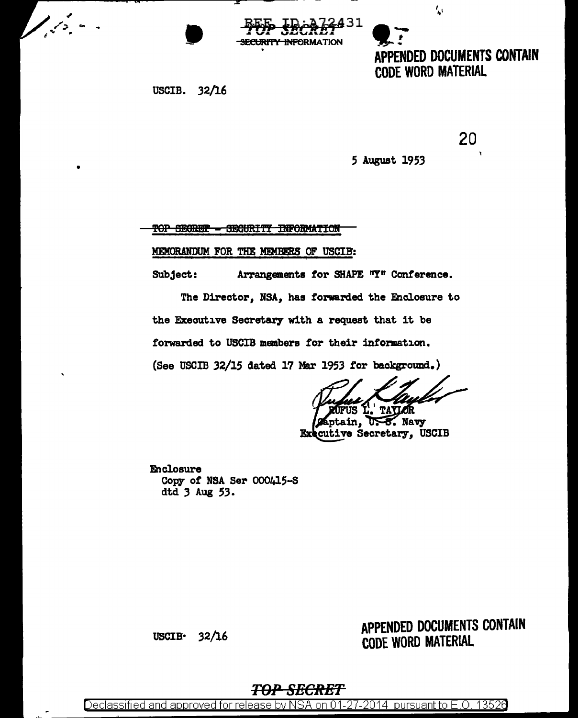',

**CODE WORD MATERIAL** 

APPENDED DOCUMENTS CONTAIN



USCIB. 32/16

 $\sqrt{2}$ 

20

5 August 1953

**TOP SEGRET - SEGURITY INFORMATION** 

MEMORANDUM FOR THE MEMBERS OF USCIB:

Subject: Arrangements for SHAPE "Y" Conference.

The Director, NSA, has forwarded the Enclosure to the Executive Secretary with a request that it be forwarded to USCIB members for their information.

(See USCIB 32/15 dated 17 Mar 1953 for background.)

**TAYLOR Trus** 

ptain, U.S. Navy cutive Secretary, USCIB Ex

Enclosure Copy of NSA Ser 000415-S dtd 3 Aug 53.

### APPENDED DOCUMENTS CONTAIN **CODE WORD MATERIAL**

**USCIB-** $32/16$ 

#### <del>TOP SECRET</del>

Declassified and approved for release by NSA on 01-27-2014 pursuant to E.O. 13526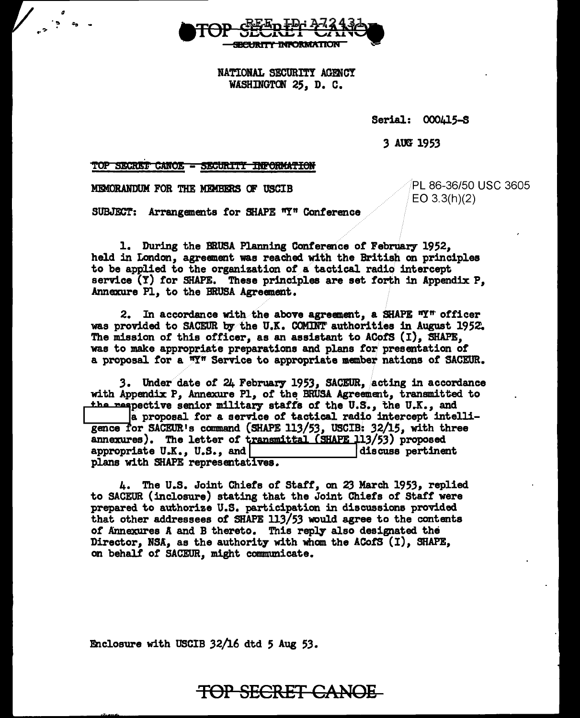

NATIONAL SECURITY AGENCY WASHINGTON 25, D. C.

Serial: 000415-S

3 AOO 1953

TOP SECRET CANOE SECURITY INFORMATION

MEMORANDUM FOR THE MEMBERS OF USCIB

 $\cdot$ 

*ii*  "'=lo .... -

> PL 86-36/50 USC 3605 EO 3.3(h)(2)

SUBJECT: Arrangements for SHAPE "Y" Conference

1. During the BRUSA Planning Conference of February 1952, held in London, agreement was reached with the British on principles to be applied to the organization of a tactical radio intercept service  $(Y)$  for SHAPE. These principles are set forth in Appendix P, Annexure Pl, to the BRUSA Agreement.

2. In accordance with the above agreement, a SHAPE  $nY^n$  officer was provided to SACEUR by the U.K. COMINT authorities in August 1952. The mission of this officer, as an assistant to ACofS  $(I)$ , SHAPE, was to make appropriate preparations and plans for presentation of a proposal for a "Y" Service to appropriate member nations of SACEUR.

3. Under date of 24 February 1953, SACEUR, acting in accordance with Appendix P, Annexure Pl, of the BRUSA Agreement, transmitted to<br>the respective senior military staffs of the U.S., the U.K., and the respective senior military staffs of the U.S., the U.K., and<br>a proposal for a service of tactical radio intercept intel<br>gence for SACEUR's command (SHAPE 113/53, USCIB: 32/15, with three<br>components a proposal for a service or tactical radio intercept intelligence for SACEUR's command (SHAPE 113/53, USCIB: 32/15, with three annexures). The letter of transmittal (SHAPE 113/53) proposed appropriate U.K., U.S., and | discuss pertinent plans with SHAPE representatives.

4. The U.S. Joint Chiefs of Staff, on 23 March 1953, replied to SACEUR (inclosure) stating that the Joint Chiefs or Start were prepared to authorize U.S. participation in discussions provided that other addressees of SHAPE 113/53 would agree to the contents of Annexures A and B thereto. This reply also designated the Director, NSA, as the authority with whom the ACofS  $(1)$ , SHAPE, on behalf of SACEUR, might communicate.

Enclosure with USCIB  $32/16$  dtd 5 Aug 53.

# TOP SECRET CANOE